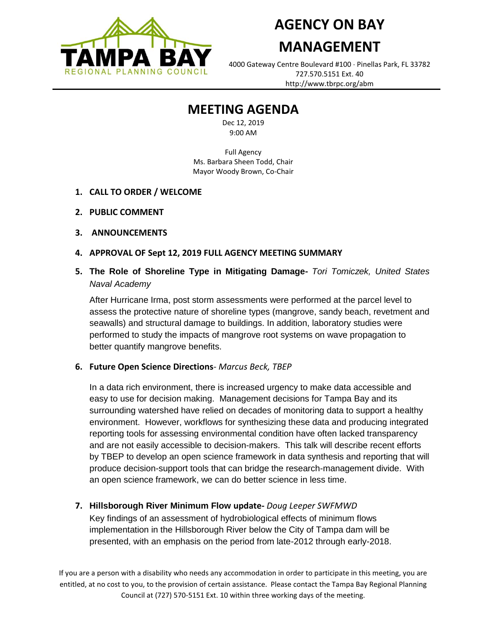

# **AGENCY ON BAY**

# **MANAGEMENT**

4000 Gateway Centre Boulevard #100 Pinellas Park, FL 33782 727.570.5151 Ext. 40 http://www.tbrpc.org/abm

# **MEETING AGENDA**

Dec 12, 2019 9:00 AM

Full Agency Ms. Barbara Sheen Todd, Chair Mayor Woody Brown, Co-Chair

- **1. CALL TO ORDER / WELCOME**
- **2. PUBLIC COMMENT**
- **3. ANNOUNCEMENTS**
- **4. APPROVAL OF Sept 12, 2019 FULL AGENCY MEETING SUMMARY**
- **5. The Role of Shoreline Type in Mitigating Damage-** *Tori Tomiczek, United States Naval Academy*

After Hurricane Irma, post storm assessments were performed at the parcel level to assess the protective nature of shoreline types (mangrove, sandy beach, revetment and seawalls) and structural damage to buildings. In addition, laboratory studies were performed to study the impacts of mangrove root systems on wave propagation to better quantify mangrove benefits.

## **6. Future Open Science Directions**- *Marcus Beck, TBEP*

In a data rich environment, there is increased urgency to make data accessible and easy to use for decision making. Management decisions for Tampa Bay and its surrounding watershed have relied on decades of monitoring data to support a healthy environment. However, workflows for synthesizing these data and producing integrated reporting tools for assessing environmental condition have often lacked transparency and are not easily accessible to decision-makers. This talk will describe recent efforts by TBEP to develop an open science framework in data synthesis and reporting that will produce decision-support tools that can bridge the research-management divide. With an open science framework, we can do better science in less time.

**7. Hillsborough River Minimum Flow update-** *Doug Leeper SWFMWD*

Key findings of an assessment of hydrobiological effects of minimum flows implementation in the Hillsborough River below the City of Tampa dam will be presented, with an emphasis on the period from late-2012 through early-2018.

If you are a person with a disability who needs any accommodation in order to participate in this meeting, you are entitled, at no cost to you, to the provision of certain assistance. Please contact the Tampa Bay Regional Planning Council at (727) 570-5151 Ext. 10 within three working days of the meeting.